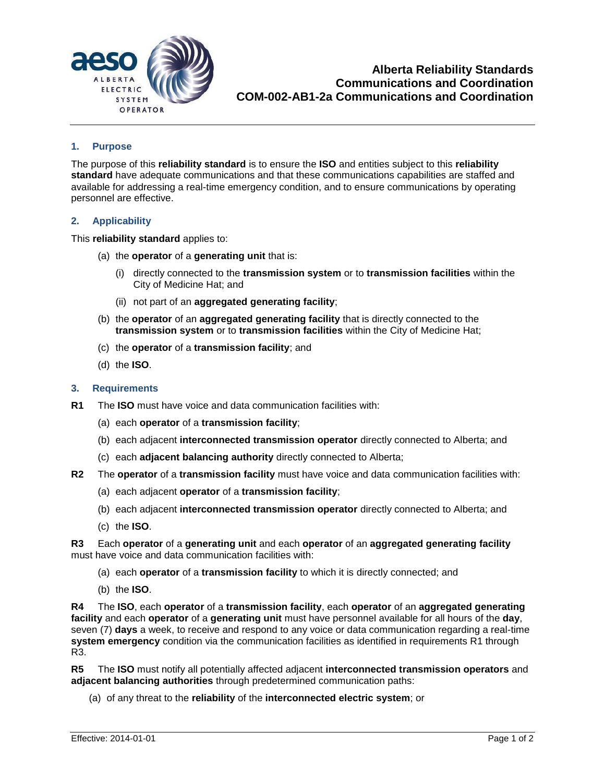

# **1. Purpose**

The purpose of this **reliability standard** is to ensure the **ISO** and entities subject to this **reliability standard** have adequate communications and that these communications capabilities are staffed and available for addressing a real-time emergency condition, and to ensure communications by operating personnel are effective.

## **2. Applicability**

This **reliability standard** applies to:

- (a) the **operator** of a **generating unit** that is:
	- (i) directly connected to the **transmission system** or to **transmission facilities** within the City of Medicine Hat; and
	- (ii) not part of an **aggregated generating facility**;
- (b) the **operator** of an **aggregated generating facility** that is directly connected to the **transmission system** or to **transmission facilities** within the City of Medicine Hat;
- (c) the **operator** of a **transmission facility**; and
- (d) the **ISO**.

### **3. Requirements**

- **R1** The **ISO** must have voice and data communication facilities with:
	- (a) each **operator** of a **transmission facility**;
	- (b) each adjacent **interconnected transmission operator** directly connected to Alberta; and
	- (c) each **adjacent balancing authority** directly connected to Alberta;
- **R2** The **operator** of a **transmission facility** must have voice and data communication facilities with:
	- (a) each adjacent **operator** of a **transmission facility**;
	- (b) each adjacent **interconnected transmission operator** directly connected to Alberta; and
	- (c) the **ISO**.

**R3** Each **operator** of a **generating unit** and each **operator** of an **aggregated generating facility** must have voice and data communication facilities with:

- (a) each **operator** of a **transmission facility** to which it is directly connected; and
- (b) the **ISO**.

**R4** The **ISO**, each **operator** of a **transmission facility**, each **operator** of an **aggregated generating facility** and each **operator** of a **generating unit** must have personnel available for all hours of the **day**, seven (7) **days** a week, to receive and respond to any voice or data communication regarding a real-time **system emergency** condition via the communication facilities as identified in requirements R1 through R3.

**R5** The **ISO** must notify all potentially affected adjacent **interconnected transmission operators** and **adjacent balancing authorities** through predetermined communication paths:

(a) of any threat to the **reliability** of the **interconnected electric system**; or